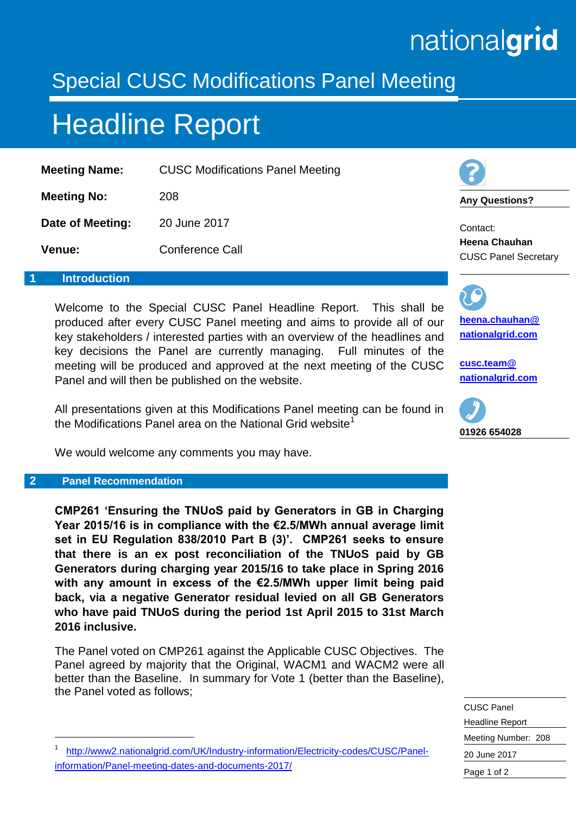# nationalgrid

### Special CUSC Modifications Panel Meeting

## Headline Report

| <b>CUSC Modifications Panel Meeting</b> |
|-----------------------------------------|
| 208                                     |
| 20 June 2017                            |
| <b>Conference Call</b>                  |
|                                         |

#### **1 Introduction**

Welcome to the Special CUSC Panel Headline Report. This shall be produced after every CUSC Panel meeting and aims to provide all of our key stakeholders / interested parties with an overview of the headlines and key decisions the Panel are currently managing. Full minutes of the meeting will be produced and approved at the next meeting of the CUSC Panel and will then be published on the website.

All presentations given at this Modifications Panel meeting can be found in the Modifications Panel area on the National Grid website<sup>1</sup>

We would welcome any comments you may have.

#### **2 Panel Recommendation**

-

**CMP261 'Ensuring the TNUoS paid by Generators in GB in Charging Year 2015/16 is in compliance with the €2.5/MWh annual average limit set in EU Regulation 838/2010 Part B (3)'. CMP261 seeks to ensure that there is an ex post reconciliation of the TNUoS paid by GB Generators during charging year 2015/16 to take place in Spring 2016 with any amount in excess of the €2.5/MWh upper limit being paid back, via a negative Generator residual levied on all GB Generators who have paid TNUoS during the period 1st April 2015 to 31st March 2016 inclusive.**

The Panel voted on CMP261 against the Applicable CUSC Objectives. The Panel agreed by majority that the Original, WACM1 and WACM2 were all better than the Baseline. In summary for Vote 1 (better than the Baseline), the Panel voted as follows;

1 [http://www2.nationalgrid.com/UK/Industry-information/Electricity-codes/CUSC/Panel](http://www2.nationalgrid.com/UK/Industry-information/Electricity-codes/CUSC/Panel-information/Panel-meeting-dates-and-documents-2017/)[information/Panel-meeting-dates-and-documents-2017/](http://www2.nationalgrid.com/UK/Industry-information/Electricity-codes/CUSC/Panel-information/Panel-meeting-dates-and-documents-2017/)

**Any Questions?**

Contact: **Heena Chauhan** CUSC Panel Secretary

**[heena.chauhan@](mailto:heena.chauhan@%0Bnationalgrid.com) [nationalgrid.com](mailto:heena.chauhan@%0Bnationalgrid.com)**

**[cusc.team@](mailto:cusc.team@%20nationalgrid.com)  [nationalgrid.com](mailto:cusc.team@%20nationalgrid.com)**



CUSC Panel Headline Report Meeting Number: 208 20 June 2017 Page 1 of 2